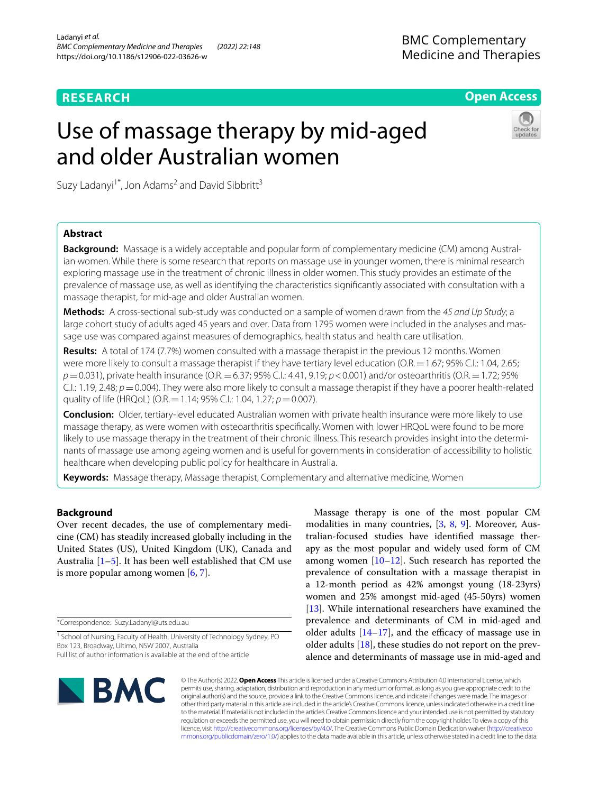# **RESEARCH**

**Open Access**

# Use of massage therapy by mid-aged and older Australian women



Suzy Ladanyi<sup>1\*</sup>, Jon Adams<sup>2</sup> and David Sibbritt<sup>3</sup>

# **Abstract**

**Background:** Massage is a widely acceptable and popular form of complementary medicine (CM) among Australian women. While there is some research that reports on massage use in younger women, there is minimal research exploring massage use in the treatment of chronic illness in older women. This study provides an estimate of the prevalence of massage use, as well as identifying the characteristics signifcantly associated with consultation with a massage therapist, for mid-age and older Australian women.

**Methods:** A cross-sectional sub-study was conducted on a sample of women drawn from the *45 and Up Study*; a large cohort study of adults aged 45 years and over*.* Data from 1795 women were included in the analyses and massage use was compared against measures of demographics, health status and health care utilisation.

**Results:** A total of 174 (7.7%) women consulted with a massage therapist in the previous 12 months. Women were more likely to consult a massage therapist if they have tertiary level education (O.R. = 1.67; 95% C.I.: 1.04, 2.65; *p*=0.031), private health insurance (O.R.=6.37; 95% C.I.: 4.41, 9.19; *p*<0.001) and/or osteoarthritis (O.R.=1.72; 95% C.I.: 1.19, 2.48;  $p=0.004$ ). They were also more likely to consult a massage therapist if they have a poorer health-related quality of life (HRQoL) (O.R.=1.14; 95% C.I.: 1.04, 1.27; *p*=0.007).

**Conclusion:** Older, tertiary-level educated Australian women with private health insurance were more likely to use massage therapy, as were women with osteoarthritis specifcally. Women with lower HRQoL were found to be more likely to use massage therapy in the treatment of their chronic illness. This research provides insight into the determinants of massage use among ageing women and is useful for governments in consideration of accessibility to holistic healthcare when developing public policy for healthcare in Australia.

**Keywords:** Massage therapy, Massage therapist, Complementary and alternative medicine, Women

# **Background**

Over recent decades, the use of complementary medicine (CM) has steadily increased globally including in the United States (US), United Kingdom (UK), Canada and Australia  $[1–5]$  $[1–5]$  $[1–5]$  $[1–5]$ . It has been well established that CM use is more popular among women [[6](#page-7-0), [7\]](#page-7-1).

\*Correspondence: Suzy.Ladanyi@uts.edu.au

Massage therapy is one of the most popular CM modalities in many countries, [\[3](#page-6-2), [8](#page-7-2), [9\]](#page-7-3). Moreover, Australian-focused studies have identifed massage therapy as the most popular and widely used form of CM among women [\[10–](#page-7-4)[12\]](#page-7-5). Such research has reported the prevalence of consultation with a massage therapist in a 12-month period as 42% amongst young (18-23yrs) women and 25% amongst mid-aged (45-50yrs) women [[13\]](#page-7-6). While international researchers have examined the prevalence and determinants of CM in mid-aged and older adults  $[14-17]$  $[14-17]$  $[14-17]$ , and the efficacy of massage use in older adults [[18\]](#page-7-9), these studies do not report on the prevalence and determinants of massage use in mid-aged and



© The Author(s) 2022. **Open Access** This article is licensed under a Creative Commons Attribution 4.0 International License, which permits use, sharing, adaptation, distribution and reproduction in any medium or format, as long as you give appropriate credit to the original author(s) and the source, provide a link to the Creative Commons licence, and indicate if changes were made. The images or other third party material in this article are included in the article's Creative Commons licence, unless indicated otherwise in a credit line to the material. If material is not included in the article's Creative Commons licence and your intended use is not permitted by statutory regulation or exceeds the permitted use, you will need to obtain permission directly from the copyright holder. To view a copy of this licence, visit [http://creativecommons.org/licenses/by/4.0/.](http://creativecommons.org/licenses/by/4.0/) The Creative Commons Public Domain Dedication waiver ([http://creativeco](http://creativecommons.org/publicdomain/zero/1.0/) [mmons.org/publicdomain/zero/1.0/](http://creativecommons.org/publicdomain/zero/1.0/)) applies to the data made available in this article, unless otherwise stated in a credit line to the data.

<sup>&</sup>lt;sup>1</sup> School of Nursing, Faculty of Health, University of Technology Sydney, PO Box 123, Broadway, Ultimo, NSW 2007, Australia Full list of author information is available at the end of the article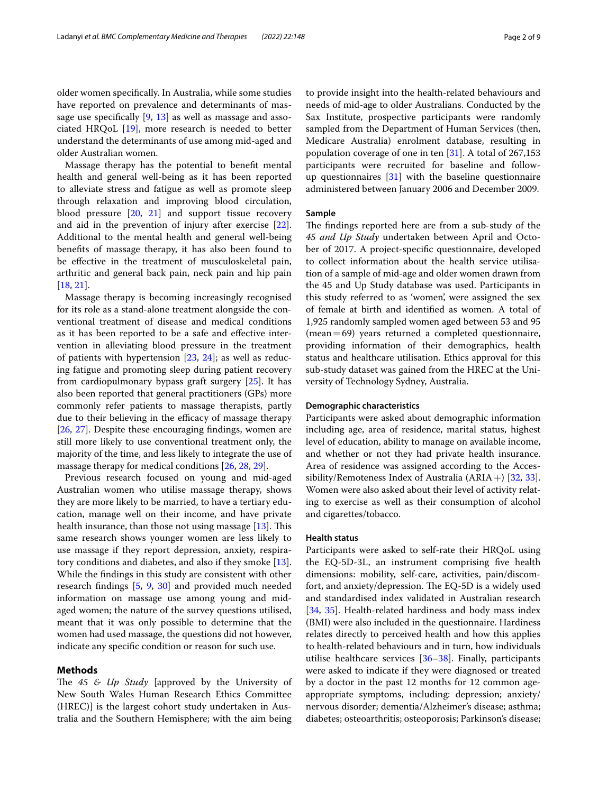older women specifcally. In Australia, while some studies have reported on prevalence and determinants of massage use specifcally [\[9](#page-7-3), [13](#page-7-6)] as well as massage and associated HRQoL [[19\]](#page-7-10), more research is needed to better understand the determinants of use among mid-aged and older Australian women.

Massage therapy has the potential to beneft mental health and general well-being as it has been reported to alleviate stress and fatigue as well as promote sleep through relaxation and improving blood circulation, blood pressure  $[20, 21]$  $[20, 21]$  $[20, 21]$  $[20, 21]$  and support tissue recovery and aid in the prevention of injury after exercise [\[22](#page-7-13)]. Additional to the mental health and general well-being benefts of massage therapy, it has also been found to be effective in the treatment of musculoskeletal pain, arthritic and general back pain, neck pain and hip pain [[18,](#page-7-9) [21](#page-7-12)].

Massage therapy is becoming increasingly recognised for its role as a stand-alone treatment alongside the conventional treatment of disease and medical conditions as it has been reported to be a safe and efective intervention in alleviating blood pressure in the treatment of patients with hypertension [\[23](#page-7-14), [24\]](#page-7-15); as well as reducing fatigue and promoting sleep during patient recovery from cardiopulmonary bypass graft surgery [\[25](#page-7-16)]. It has also been reported that general practitioners (GPs) more commonly refer patients to massage therapists, partly due to their believing in the efficacy of massage therapy [[26,](#page-7-17) [27\]](#page-7-18). Despite these encouraging fndings, women are still more likely to use conventional treatment only, the majority of the time, and less likely to integrate the use of massage therapy for medical conditions [[26](#page-7-17), [28,](#page-7-19) [29](#page-7-20)].

Previous research focused on young and mid-aged Australian women who utilise massage therapy, shows they are more likely to be married, to have a tertiary education, manage well on their income, and have private health insurance, than those not using massage  $[13]$  $[13]$ . This same research shows younger women are less likely to use massage if they report depression, anxiety, respiratory conditions and diabetes, and also if they smoke [\[13](#page-7-6)]. While the fndings in this study are consistent with other research fndings [\[5,](#page-6-1) [9](#page-7-3), [30](#page-7-21)] and provided much needed information on massage use among young and midaged women; the nature of the survey questions utilised, meant that it was only possible to determine that the women had used massage, the questions did not however, indicate any specifc condition or reason for such use.

## **Methods**

The 45 & Up Study [approved by the University of New South Wales Human Research Ethics Committee (HREC)] is the largest cohort study undertaken in Australia and the Southern Hemisphere; with the aim being to provide insight into the health-related behaviours and needs of mid-age to older Australians. Conducted by the Sax Institute, prospective participants were randomly sampled from the Department of Human Services (then, Medicare Australia) enrolment database, resulting in population coverage of one in ten [[31\]](#page-7-22). A total of 267,153 participants were recruited for baseline and followup questionnaires [\[31](#page-7-22)] with the baseline questionnaire administered between January 2006 and December 2009.

# **Sample**

The findings reported here are from a sub-study of the *45 and Up Study* undertaken between April and October of 2017. A project-specifc questionnaire, developed to collect information about the health service utilisation of a sample of mid-age and older women drawn from the 45 and Up Study database was used. Participants in this study referred to as 'women', were assigned the sex of female at birth and identifed as women. A total of 1,925 randomly sampled women aged between 53 and 95 (mean=69) years returned a completed questionnaire, providing information of their demographics, health status and healthcare utilisation. Ethics approval for this sub-study dataset was gained from the HREC at the University of Technology Sydney, Australia.

# **Demographic characteristics**

Participants were asked about demographic information including age, area of residence, marital status, highest level of education, ability to manage on available income, and whether or not they had private health insurance. Area of residence was assigned according to the Accessibility/Remoteness Index of Australia  $(ARIA +)$  [[32](#page-7-23), [33](#page-7-24)]. Women were also asked about their level of activity relating to exercise as well as their consumption of alcohol and cigarettes/tobacco.

## **Health status**

Participants were asked to self-rate their HRQoL using the EQ-5D-3L, an instrument comprising fve health dimensions: mobility, self-care, activities, pain/discomfort, and anxiety/depression. The EQ-5D is a widely used and standardised index validated in Australian research [[34,](#page-7-25) [35\]](#page-7-26). Health-related hardiness and body mass index (BMI) were also included in the questionnaire. Hardiness relates directly to perceived health and how this applies to health-related behaviours and in turn, how individuals utilise healthcare services [[36–](#page-7-27)[38](#page-7-28)]. Finally, participants were asked to indicate if they were diagnosed or treated by a doctor in the past 12 months for 12 common ageappropriate symptoms, including: depression; anxiety/ nervous disorder; dementia/Alzheimer's disease; asthma; diabetes; osteoarthritis; osteoporosis; Parkinson's disease;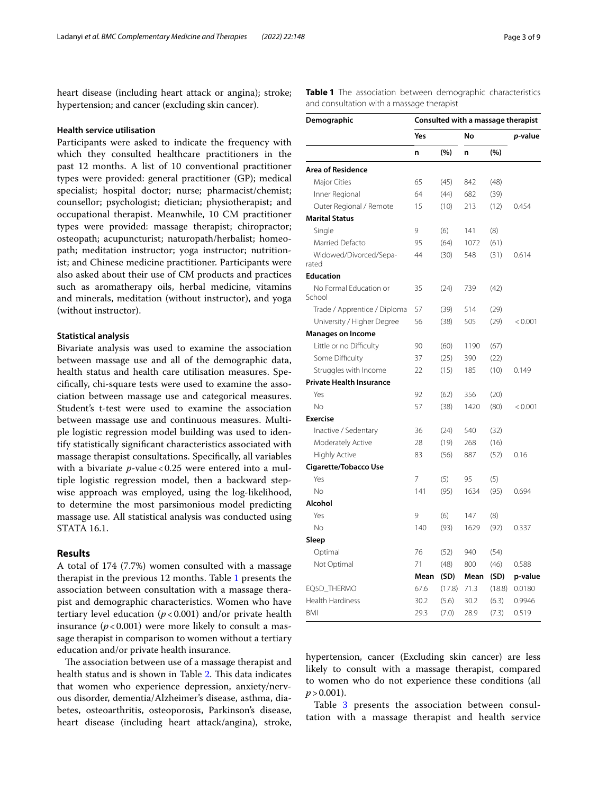heart disease (including heart attack or angina); stroke; hypertension; and cancer (excluding skin cancer).

# **Health service utilisation**

Participants were asked to indicate the frequency with which they consulted healthcare practitioners in the past 12 months. A list of 10 conventional practitioner types were provided: general practitioner (GP); medical specialist; hospital doctor; nurse; pharmacist/chemist; counsellor; psychologist; dietician; physiotherapist; and occupational therapist. Meanwhile, 10 CM practitioner types were provided: massage therapist; chiropractor; osteopath; acupuncturist; naturopath/herbalist; homeopath; meditation instructor; yoga instructor; nutritionist; and Chinese medicine practitioner. Participants were also asked about their use of CM products and practices such as aromatherapy oils, herbal medicine, vitamins and minerals, meditation (without instructor), and yoga (without instructor).

# **Statistical analysis**

Bivariate analysis was used to examine the association between massage use and all of the demographic data, health status and health care utilisation measures. Specifcally, chi-square tests were used to examine the association between massage use and categorical measures. Student's t-test were used to examine the association between massage use and continuous measures. Multiple logistic regression model building was used to identify statistically signifcant characteristics associated with massage therapist consultations. Specifcally, all variables with a bivariate *p*-value < 0.25 were entered into a multiple logistic regression model, then a backward stepwise approach was employed, using the log-likelihood, to determine the most parsimonious model predicting massage use. All statistical analysis was conducted using STATA 16.1.

# **Results**

A total of 174 (7.7%) women consulted with a massage therapist in the previous 12 months. Table [1](#page-2-0) presents the association between consultation with a massage therapist and demographic characteristics. Women who have tertiary level education  $(p<0.001)$  and/or private health insurance  $(p<0.001)$  were more likely to consult a massage therapist in comparison to women without a tertiary education and/or private health insurance.

The association between use of a massage therapist and health status and is shown in Table [2.](#page-3-0) This data indicates that women who experience depression, anxiety/nervous disorder, dementia/Alzheimer's disease, asthma, diabetes, osteoarthritis, osteoporosis, Parkinson's disease, heart disease (including heart attack/angina), stroke,

<span id="page-2-0"></span>**Table 1** The association between demographic characteristics and consultation with a massage therapist

| Demographic                      | Consulted with a massage therapist |        |      |        |                 |  |
|----------------------------------|------------------------------------|--------|------|--------|-----------------|--|
|                                  | Yes                                |        | No   |        | <i>p</i> -value |  |
|                                  | n                                  | (%)    | n    | (%)    |                 |  |
| <b>Area of Residence</b>         |                                    |        |      |        |                 |  |
| Major Cities                     | 65                                 | (45)   | 842  | (48)   |                 |  |
| Inner Regional                   | 64                                 | (44)   | 682  | (39)   |                 |  |
| Outer Regional / Remote          | 15                                 | (10)   | 213  | (12)   | 0.454           |  |
| <b>Marital Status</b>            |                                    |        |      |        |                 |  |
| Single                           | 9                                  | (6)    | 141  | (8)    |                 |  |
| Married Defacto                  | 95                                 | (64)   | 1072 | (61)   |                 |  |
| Widowed/Divorced/Sepa-<br>rated  | 44                                 | (30)   | 548  | (31)   | 0.614           |  |
| <b>Education</b>                 |                                    |        |      |        |                 |  |
| No Formal Education or<br>School | 35                                 | (24)   | 739  | (42)   |                 |  |
| Trade / Apprentice / Diploma     | 57                                 | (39)   | 514  | (29)   |                 |  |
| University / Higher Degree       | 56                                 | (38)   | 505  | (29)   | < 0.001         |  |
| <b>Manages on Income</b>         |                                    |        |      |        |                 |  |
| Little or no Difficulty          | 90                                 | (60)   | 1190 | (67)   |                 |  |
| Some Difficulty                  | 37                                 | (25)   | 390  | (22)   |                 |  |
| Struggles with Income            | 22                                 | (15)   | 185  | (10)   | 0.149           |  |
| <b>Private Health Insurance</b>  |                                    |        |      |        |                 |  |
| Yes                              | 92                                 | (62)   | 356  | (20)   |                 |  |
| No                               | 57                                 | (38)   | 1420 | (80)   | < 0.001         |  |
| <b>Exercise</b>                  |                                    |        |      |        |                 |  |
| Inactive / Sedentary             | 36                                 | (24)   | 540  | (32)   |                 |  |
| Moderately Active                | 28                                 | (19)   | 268  | (16)   |                 |  |
| <b>Highly Active</b>             | 83                                 | (56)   | 887  | (52)   | 0.16            |  |
| <b>Cigarette/Tobacco Use</b>     |                                    |        |      |        |                 |  |
| Yes                              | 7                                  | (5)    | 95   | (5)    |                 |  |
| <b>No</b>                        | 141                                | (95)   | 1634 | (95)   | 0.694           |  |
| Alcohol                          |                                    |        |      |        |                 |  |
| Yes                              | 9                                  | (6)    | 147  | (8)    |                 |  |
| <b>No</b>                        | 140                                | (93)   | 1629 | (92)   | 0.337           |  |
| Sleep                            |                                    |        |      |        |                 |  |
| Optimal                          | 76                                 | (52)   | 940  | (54)   |                 |  |
| Not Optimal                      | 71                                 | (48)   | 800  | (46)   | 0.588           |  |
|                                  | Mean                               | (SD)   | Mean | (SD)   | p-value         |  |
| EQ5D_THERMO                      | 67.6                               | (17.8) | 71.3 | (18.8) | 0.0180          |  |
| Health Hardiness                 | 30.2                               | (5.6)  | 30.2 | (6.3)  | 0.9946          |  |
| <b>BMI</b>                       | 29.3                               | (7.0)  | 28.9 | (7.3)  | 0.519           |  |

hypertension, cancer (Excluding skin cancer) are less likely to consult with a massage therapist, compared to women who do not experience these conditions (all  $p > 0.001$ ).

Table [3](#page-3-1) presents the association between consultation with a massage therapist and health service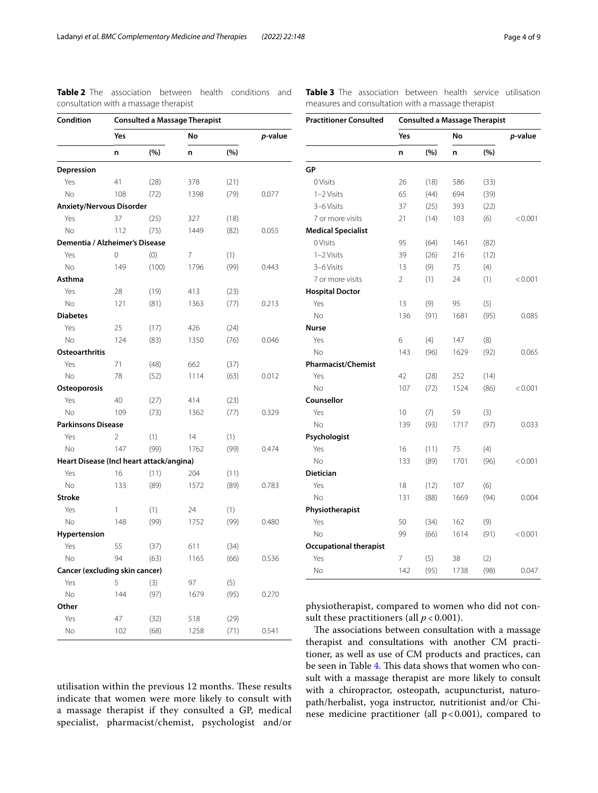| Condition                                | <b>Consulted a Massage Therapist</b> |       |      |      |       |  |  |  |
|------------------------------------------|--------------------------------------|-------|------|------|-------|--|--|--|
|                                          | Yes                                  |       |      | No   |       |  |  |  |
|                                          | n                                    | (%)   | n    | (%)  |       |  |  |  |
| Depression                               |                                      |       |      |      |       |  |  |  |
| Yes                                      | 41                                   | (28)  | 378  | (21) |       |  |  |  |
| No                                       | 108                                  | (72)  | 1398 | (79) | 0.077 |  |  |  |
| <b>Anxiety/Nervous Disorder</b>          |                                      |       |      |      |       |  |  |  |
| Yes                                      | 37                                   | (25)  | 327  | (18) |       |  |  |  |
| No                                       | 112                                  | (75)  | 1449 | (82) | 0.055 |  |  |  |
| Dementia / Alzheimer's Disease           |                                      |       |      |      |       |  |  |  |
| Yes                                      | 0                                    | (0)   | 7    | (1)  |       |  |  |  |
| <b>No</b>                                | 149                                  | (100) | 1796 | (99) | 0.443 |  |  |  |
| Asthma                                   |                                      |       |      |      |       |  |  |  |
| Yes                                      | 28                                   | (19)  | 413  | (23) |       |  |  |  |
| <b>No</b>                                | 121                                  | (81)  | 1363 | (77) | 0.213 |  |  |  |
| <b>Diabetes</b>                          |                                      |       |      |      |       |  |  |  |
| Yes                                      | 25                                   | (17)  | 426  | (24) |       |  |  |  |
| No                                       | 124                                  | (83)  | 1350 | (76) | 0.046 |  |  |  |
| <b>Osteoarthritis</b>                    |                                      |       |      |      |       |  |  |  |
| Yes                                      | 71                                   | (48)  | 662  | (37) |       |  |  |  |
| No                                       | 78                                   | (52)  | 1114 | (63) | 0.012 |  |  |  |
| Osteoporosis                             |                                      |       |      |      |       |  |  |  |
| Yes                                      | 40                                   | (27)  | 414  | (23) |       |  |  |  |
| No                                       | 109                                  | (73)  | 1362 | (77) | 0.329 |  |  |  |
| <b>Parkinsons Disease</b>                |                                      |       |      |      |       |  |  |  |
| Yes                                      | $\overline{2}$                       | (1)   | 14   | (1)  |       |  |  |  |
| No                                       | 147                                  | (99)  | 1762 | (99) | 0.474 |  |  |  |
| Heart Disease (Incl heart attack/angina) |                                      |       |      |      |       |  |  |  |
| Yes                                      | 16                                   | (11)  | 204  | (11) |       |  |  |  |
| <b>No</b>                                | 133                                  | (89)  | 1572 | (89) | 0.783 |  |  |  |
| <b>Stroke</b>                            |                                      |       |      |      |       |  |  |  |
| Yes                                      | 1                                    | (1)   | 24   | (1)  |       |  |  |  |
| No                                       | 148                                  | (99)  | 1752 | (99) | 0.480 |  |  |  |
| Hypertension                             |                                      |       |      |      |       |  |  |  |
| Yes                                      | 55                                   | (37)  | 611  | (34) |       |  |  |  |
| No                                       | 94                                   | (63)  | 1165 | (66) | 0.536 |  |  |  |
| Cancer (excluding skin cancer)           |                                      |       |      |      |       |  |  |  |
| Yes                                      | 5                                    | (3)   | 97   | (5)  |       |  |  |  |
| No                                       | 144                                  | (97)  | 1679 | (95) | 0.270 |  |  |  |
| Other                                    |                                      |       |      |      |       |  |  |  |
| Yes                                      | 47                                   | (32)  | 518  | (29) |       |  |  |  |
| No                                       | 102                                  | (68)  | 1258 | (71) | 0.541 |  |  |  |

<span id="page-3-0"></span>**Table 2** The association between health conditions and consultation with a massage therapist

<span id="page-3-1"></span>**Table 3** The association between health service utilisation measures and consultation with a massage therapist

| <b>Practitioner Consulted</b> | <b>Consulted a Massage Therapist</b> |      |      |      |         |  |
|-------------------------------|--------------------------------------|------|------|------|---------|--|
|                               | Yes                                  |      | No   |      | p-value |  |
|                               | n                                    | (%)  | n    | (%)  |         |  |
| GР                            |                                      |      |      |      |         |  |
| 0 Visits                      | 26                                   | (18) | 586  | (33) |         |  |
| 1-2 Visits                    | 65                                   | (44) | 694  | (39) |         |  |
| 3-6 Visits                    | 37                                   | (25) | 393  | (22) |         |  |
| 7 or more visits              | 21                                   | (14) | 103  | (6)  | < 0.001 |  |
| <b>Medical Specialist</b>     |                                      |      |      |      |         |  |
| 0 Visits                      | 95                                   | (64) | 1461 | (82) |         |  |
| $1 - 2$ Visits                | 39                                   | (26) | 216  | (12) |         |  |
| 3-6 Visits                    | 13                                   | (9)  | 75   | (4)  |         |  |
| 7 or more visits              | 2                                    | (1)  | 24   | (1)  | < 0.001 |  |
| <b>Hospital Doctor</b>        |                                      |      |      |      |         |  |
| Yes                           | 13                                   | (9)  | 95   | (5)  |         |  |
| No                            | 136                                  | (91) | 1681 | (95) | 0.085   |  |
| Nurse                         |                                      |      |      |      |         |  |
| Yes                           | 6                                    | (4)  | 147  | (8)  |         |  |
| <b>No</b>                     | 143                                  | (96) | 1629 | (92) | 0.065   |  |
| <b>Pharmacist/Chemist</b>     |                                      |      |      |      |         |  |
| Yes                           | 42                                   | (28) | 252  | (14) |         |  |
| <b>No</b>                     | 107                                  | (72) | 1524 | (86) | < 0.001 |  |
| Counsellor                    |                                      |      |      |      |         |  |
| Yes                           | 10                                   | (7)  | 59   | (3)  |         |  |
| No                            | 139                                  | (93) | 1717 | (97) | 0.033   |  |
| Psychologist                  |                                      |      |      |      |         |  |
| Yes                           | 16                                   | (11) | 75   | (4)  |         |  |
| N <sub>o</sub>                | 133                                  | (89) | 1701 | (96) | < 0.001 |  |
| <b>Dietician</b>              |                                      |      |      |      |         |  |
| Yes                           | 18                                   | (12) | 107  | (6)  |         |  |
| <b>No</b>                     | 131                                  | (88) | 1669 | (94) | 0.004   |  |
| Physiotherapist               |                                      |      |      |      |         |  |
| Yes                           | 50                                   | (34) | 162  | (9)  |         |  |
| <b>No</b>                     | 99                                   | (66) | 1614 | (91) | < 0.001 |  |
| <b>Occupational therapist</b> |                                      |      |      |      |         |  |
| Yes                           | 7                                    | (5)  | 38   | (2)  |         |  |
| <b>No</b>                     | 142                                  | (95) | 1738 | (98) | 0.047   |  |

physiotherapist, compared to women who did not consult these practitioners (all  $p < 0.001$ ).

The associations between consultation with a massage therapist and consultations with another CM practitioner, as well as use of CM products and practices, can be seen in Table [4](#page-4-0). This data shows that women who consult with a massage therapist are more likely to consult with a chiropractor, osteopath, acupuncturist, naturopath/herbalist, yoga instructor, nutritionist and/or Chinese medicine practitioner (all  $p < 0.001$ ), compared to

utilisation within the previous 12 months. These results indicate that women were more likely to consult with a massage therapist if they consulted a GP, medical specialist, pharmacist/chemist, psychologist and/or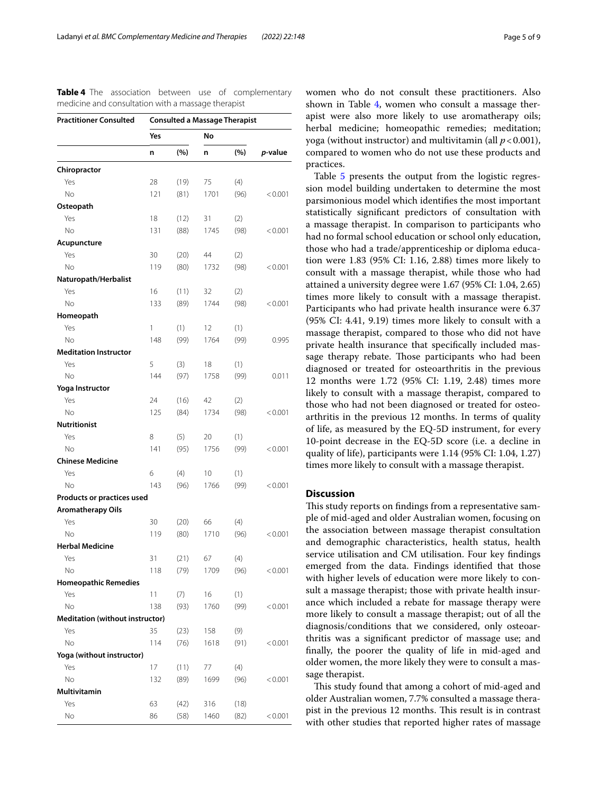| <b>Practitioner Consulted</b>                          | <b>Consulted a Massage Therapist</b> |      |      |      |         |  |
|--------------------------------------------------------|--------------------------------------|------|------|------|---------|--|
|                                                        | Yes                                  |      |      | No   |         |  |
|                                                        | n                                    | (%)  | n    | (%)  | p-value |  |
| Chiropractor                                           |                                      |      |      |      |         |  |
| Yes                                                    | 28                                   | (19) | 75   | (4)  |         |  |
| No.                                                    | 121                                  | (81) | 1701 | (96) | < 0.001 |  |
| Osteopath                                              |                                      |      |      |      |         |  |
| Yes                                                    | 18                                   | (12) | 31   | (2)  |         |  |
| No                                                     | 131                                  | (88) | 1745 | (98) | < 0.001 |  |
| Acupuncture                                            |                                      |      |      |      |         |  |
| Yes                                                    | 30                                   | (20) | 44   | (2)  |         |  |
| No.                                                    | 119                                  | (80) | 1732 | (98) | < 0.001 |  |
| Naturopath/Herbalist                                   |                                      |      |      |      |         |  |
| Yes                                                    | 16                                   | (11) | 32   | (2)  |         |  |
| No.                                                    | 133                                  | (89) | 1744 | (98) | < 0.001 |  |
| Homeopath                                              |                                      |      |      |      |         |  |
| Yes                                                    | 1                                    | (1)  | 12   | (1)  |         |  |
| <b>No</b>                                              | 148                                  | (99) | 1764 | (99) | 0.995   |  |
| <b>Meditation Instructor</b>                           |                                      |      |      |      |         |  |
| Yes                                                    | 5                                    | (3)  | 18   | (1)  |         |  |
| No.                                                    | 144                                  | (97) | 1758 | (99) | 0.011   |  |
| Yoga Instructor                                        |                                      |      |      |      |         |  |
| Yes                                                    | 24                                   | (16) | 42   | (2)  |         |  |
| <b>No</b>                                              | 125                                  | (84) | 1734 | (98) | < 0.001 |  |
| <b>Nutritionist</b>                                    |                                      |      |      |      |         |  |
| Yes                                                    | 8                                    | (5)  | 20   | (1)  |         |  |
| <b>No</b>                                              | 141                                  | (95) | 1756 | (99) | < 0.001 |  |
| <b>Chinese Medicine</b>                                |                                      |      |      |      |         |  |
| Yes                                                    | 6                                    | (4)  | 10   | (1)  |         |  |
| No                                                     | 143                                  | (96) | 1766 | (99) | < 0.001 |  |
| Products or practices used<br><b>Aromatherapy Oils</b> |                                      |      |      |      |         |  |
| Yes                                                    | 30                                   | (20) | 66   | (4)  |         |  |
| <b>No</b>                                              | 119                                  | (80) | 1710 | (96) | < 0.001 |  |
| <b>Herbal Medicine</b>                                 |                                      |      |      |      |         |  |
| Yes                                                    | 31                                   | (21) | 67   | (4)  |         |  |
| Νo                                                     | 118                                  | (79) | 1709 | (96) | < 0.001 |  |
| <b>Homeopathic Remedies</b>                            |                                      |      |      |      |         |  |
| Yes                                                    | 11                                   | (7)  | 16   | (1)  |         |  |
| No                                                     | 138                                  | (93) | 1760 | (99) | < 0.001 |  |
| Meditation (without instructor)                        |                                      |      |      |      |         |  |
| Yes                                                    | 35                                   | (23) | 158  | (9)  |         |  |
| No                                                     | 114                                  | (76) | 1618 | (91) | < 0.001 |  |
| Yoga (without instructor)                              |                                      |      |      |      |         |  |
| Yes                                                    | 17                                   | (11) | 77   | (4)  |         |  |
| No                                                     | 132                                  | (89) | 1699 | (96) | < 0.001 |  |
| Multivitamin                                           |                                      |      |      |      |         |  |
| Yes                                                    | 63                                   | (42) | 316  | (18) |         |  |
| $\rm No$                                               | 86                                   | (58) | 1460 | (82) | < 0.001 |  |

<span id="page-4-0"></span>**Table 4** The association between use of complementary medicine and consultation with a massage therapist

women who do not consult these practitioners. Also shown in Table  $4$ , women who consult a massage therapist were also more likely to use aromatherapy oils; herbal medicine; homeopathic remedies; meditation; yoga (without instructor) and multivitamin (all *p*<0.001), compared to women who do not use these products and practices.

Table [5](#page-5-0) presents the output from the logistic regression model building undertaken to determine the most parsimonious model which identifes the most important statistically signifcant predictors of consultation with a massage therapist. In comparison to participants who had no formal school education or school only education, those who had a trade/apprenticeship or diploma education were 1.83 (95% CI: 1.16, 2.88) times more likely to consult with a massage therapist, while those who had attained a university degree were 1.67 (95% CI: 1.04, 2.65) times more likely to consult with a massage therapist. Participants who had private health insurance were 6.37 (95% CI: 4.41, 9.19) times more likely to consult with a massage therapist, compared to those who did not have private health insurance that specifcally included massage therapy rebate. Those participants who had been diagnosed or treated for osteoarthritis in the previous 12 months were 1.72 (95% CI: 1.19, 2.48) times more likely to consult with a massage therapist, compared to those who had not been diagnosed or treated for osteoarthritis in the previous 12 months. In terms of quality of life, as measured by the EQ-5D instrument, for every 10-point decrease in the EQ-5D score (i.e. a decline in quality of life), participants were 1.14 (95% CI: 1.04, 1.27) times more likely to consult with a massage therapist.

# **Discussion**

This study reports on findings from a representative sample of mid-aged and older Australian women, focusing on the association between massage therapist consultation and demographic characteristics, health status, health service utilisation and CM utilisation. Four key fndings emerged from the data. Findings identifed that those with higher levels of education were more likely to consult a massage therapist; those with private health insurance which included a rebate for massage therapy were more likely to consult a massage therapist; out of all the diagnosis/conditions that we considered, only osteoarthritis was a signifcant predictor of massage use; and fnally, the poorer the quality of life in mid-aged and older women, the more likely they were to consult a massage therapist.

This study found that among a cohort of mid-aged and older Australian women, 7.7% consulted a massage therapist in the previous 12 months. This result is in contrast with other studies that reported higher rates of massage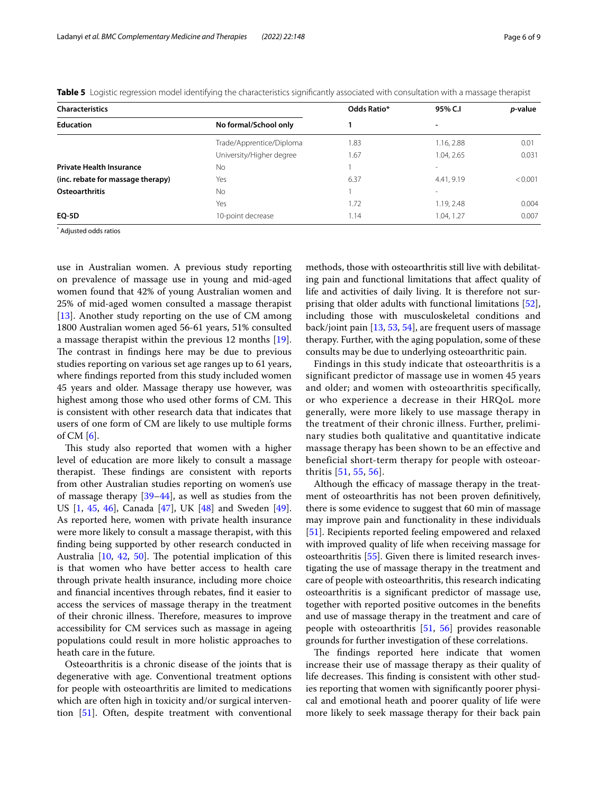| <b>Characteristics</b>            |                          | Odds Ratio* | 95% C.I                  | <i>p</i> -value |
|-----------------------------------|--------------------------|-------------|--------------------------|-----------------|
| <b>Education</b>                  | No formal/School only    |             | -                        |                 |
|                                   | Trade/Apprentice/Diploma | 1.83        | 1.16, 2.88               | 0.01            |
|                                   | University/Higher degree | 1.67        | 1.04, 2.65               | 0.031           |
| <b>Private Health Insurance</b>   | <b>No</b>                |             |                          |                 |
| (inc. rebate for massage therapy) | Yes                      | 6.37        | 4.41, 9.19               | < 0.001         |
| <b>Osteoarthritis</b>             | <b>No</b>                |             | $\overline{\phantom{a}}$ |                 |
|                                   | Yes                      | 1.72        | 1.19, 2.48               | 0.004           |
| <b>EQ-5D</b>                      | 10-point decrease        | 1.14        | 1.04, 1.27               | 0.007           |

<span id="page-5-0"></span>**Table 5** Logistic regression model identifying the characteristics significantly associated with consultation with a massage therapist

\* Adjusted odds ratios

use in Australian women. A previous study reporting on prevalence of massage use in young and mid-aged women found that 42% of young Australian women and 25% of mid-aged women consulted a massage therapist [ $13$ ]. Another study reporting on the use of CM among 1800 Australian women aged 56-61 years, 51% consulted a massage therapist within the previous 12 months [\[19](#page-7-10)]. The contrast in findings here may be due to previous studies reporting on various set age ranges up to 61 years, where fndings reported from this study included women 45 years and older. Massage therapy use however, was highest among those who used other forms of CM. This is consistent with other research data that indicates that users of one form of CM are likely to use multiple forms of CM  $[6]$  $[6]$  $[6]$ .

This study also reported that women with a higher level of education are more likely to consult a massage therapist. These findings are consistent with reports from other Australian studies reporting on women's use of massage therapy [\[39](#page-7-29)[–44](#page-7-30)], as well as studies from the US [\[1,](#page-6-0) [45,](#page-7-31) [46\]](#page-7-32), Canada [\[47](#page-7-33)], UK [[48](#page-8-0)] and Sweden [\[49](#page-8-1)]. As reported here, women with private health insurance were more likely to consult a massage therapist, with this fnding being supported by other research conducted in Australia  $[10, 42, 50]$  $[10, 42, 50]$  $[10, 42, 50]$  $[10, 42, 50]$  $[10, 42, 50]$  $[10, 42, 50]$  $[10, 42, 50]$ . The potential implication of this is that women who have better access to health care through private health insurance, including more choice and fnancial incentives through rebates, fnd it easier to access the services of massage therapy in the treatment of their chronic illness. Therefore, measures to improve accessibility for CM services such as massage in ageing populations could result in more holistic approaches to heath care in the future.

Osteoarthritis is a chronic disease of the joints that is degenerative with age. Conventional treatment options for people with osteoarthritis are limited to medications which are often high in toxicity and/or surgical intervention [[51\]](#page-8-3). Often, despite treatment with conventional methods, those with osteoarthritis still live with debilitating pain and functional limitations that afect quality of life and activities of daily living. It is therefore not surprising that older adults with functional limitations [\[52](#page-8-4)], including those with musculoskeletal conditions and back/joint pain [[13,](#page-7-6) [53](#page-8-5), [54\]](#page-8-6), are frequent users of massage therapy. Further, with the aging population, some of these consults may be due to underlying osteoarthritic pain.

Findings in this study indicate that osteoarthritis is a significant predictor of massage use in women 45 years and older; and women with osteoarthritis specifically, or who experience a decrease in their HRQoL more generally, were more likely to use massage therapy in the treatment of their chronic illness. Further, preliminary studies both qualitative and quantitative indicate massage therapy has been shown to be an effective and beneficial short-term therapy for people with osteoarthritis [[51](#page-8-3), [55](#page-8-7), [56](#page-8-8)].

Although the efficacy of massage therapy in the treatment of osteoarthritis has not been proven defnitively, there is some evidence to suggest that 60 min of massage may improve pain and functionality in these individuals [[51\]](#page-8-3). Recipients reported feeling empowered and relaxed with improved quality of life when receiving massage for osteoarthritis [[55\]](#page-8-7). Given there is limited research investigating the use of massage therapy in the treatment and care of people with osteoarthritis, this research indicating osteoarthritis is a signifcant predictor of massage use, together with reported positive outcomes in the benefts and use of massage therapy in the treatment and care of people with osteoarthritis [[51,](#page-8-3) [56\]](#page-8-8) provides reasonable grounds for further investigation of these correlations.

The findings reported here indicate that women increase their use of massage therapy as their quality of life decreases. This finding is consistent with other studies reporting that women with signifcantly poorer physical and emotional heath and poorer quality of life were more likely to seek massage therapy for their back pain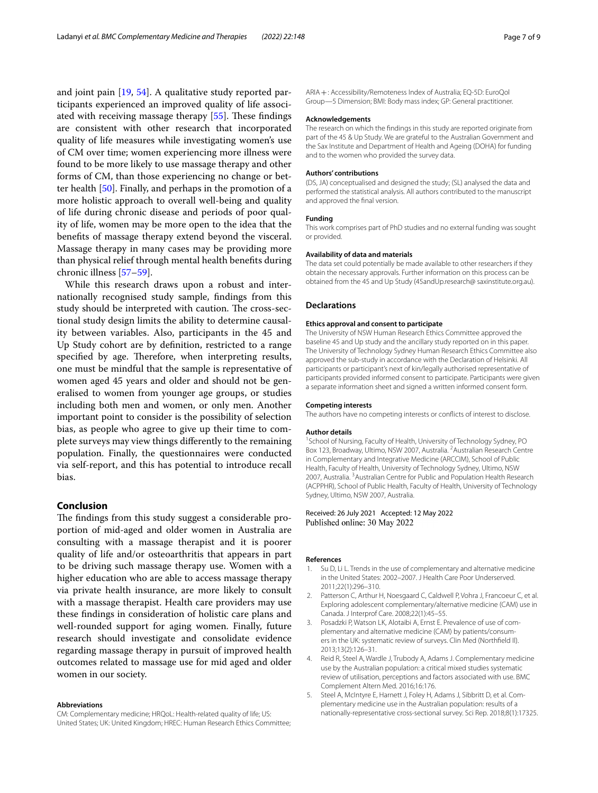and joint pain [[19,](#page-7-10) [54\]](#page-8-6). A qualitative study reported participants experienced an improved quality of life associated with receiving massage therapy  $[55]$  $[55]$ . These findings are consistent with other research that incorporated quality of life measures while investigating women's use of CM over time; women experiencing more illness were found to be more likely to use massage therapy and other forms of CM, than those experiencing no change or better health [[50\]](#page-8-2). Finally, and perhaps in the promotion of a more holistic approach to overall well-being and quality of life during chronic disease and periods of poor quality of life, women may be more open to the idea that the benefts of massage therapy extend beyond the visceral. Massage therapy in many cases may be providing more than physical relief through mental health benefts during chronic illness [[57–](#page-8-9)[59\]](#page-8-10).

While this research draws upon a robust and internationally recognised study sample, fndings from this study should be interpreted with caution. The cross-sectional study design limits the ability to determine causality between variables. Also, participants in the 45 and Up Study cohort are by defnition, restricted to a range specified by age. Therefore, when interpreting results, one must be mindful that the sample is representative of women aged 45 years and older and should not be generalised to women from younger age groups, or studies including both men and women, or only men. Another important point to consider is the possibility of selection bias, as people who agree to give up their time to complete surveys may view things diferently to the remaining population. Finally, the questionnaires were conducted via self-report, and this has potential to introduce recall bias.

# **Conclusion**

The findings from this study suggest a considerable proportion of mid-aged and older women in Australia are consulting with a massage therapist and it is poorer quality of life and/or osteoarthritis that appears in part to be driving such massage therapy use. Women with a higher education who are able to access massage therapy via private health insurance, are more likely to consult with a massage therapist. Health care providers may use these fndings in consideration of holistic care plans and well-rounded support for aging women. Finally, future research should investigate and consolidate evidence regarding massage therapy in pursuit of improved health outcomes related to massage use for mid aged and older women in our society.

#### **Abbreviations**

CM: Complementary medicine; HRQoL: Health-related quality of life; US: United States; UK: United Kingdom; HREC: Human Research Ethics Committee;

ARIA+: Accessibility/Remoteness Index of Australia; EQ-5D: EuroQol Group—5 Dimension; BMI: Body mass index; GP: General practitioner.

#### **Acknowledgements**

The research on which the fndings in this study are reported originate from part of the 45 & Up Study. We are grateful to the Australian Government and the Sax Institute and Department of Health and Ageing (DOHA) for funding and to the women who provided the survey data.

#### **Authors' contributions**

(DS, JA) conceptualised and designed the study; (SL) analysed the data and performed the statistical analysis. All authors contributed to the manuscript and approved the fnal version.

#### **Funding**

This work comprises part of PhD studies and no external funding was sought or provided.

# **Availability of data and materials**

The data set could potentially be made available to other researchers if they obtain the necessary approvals. Further information on this process can be obtained from the 45 and Up Study (45andUp.research@ saxinstitute.org.au).

#### **Declarations**

#### **Ethics approval and consent to participate**

The University of NSW Human Research Ethics Committee approved the baseline 45 and Up study and the ancillary study reported on in this paper. The University of Technology Sydney Human Research Ethics Committee also approved the sub-study in accordance with the Declaration of Helsinki. All participants or participant's next of kin/legally authorised representative of participants provided informed consent to participate. Participants were given a separate information sheet and signed a written informed consent form.

#### **Competing interests**

The authors have no competing interests or conficts of interest to disclose.

#### **Author details**

<sup>1</sup> School of Nursing, Faculty of Health, University of Technology Sydney, PO Box 123, Broadway, Ultimo, NSW 2007, Australia. <sup>2</sup> Australian Research Centre in Complementary and Integrative Medicine (ARCCIM), School of Public Health, Faculty of Health, University of Technology Sydney, Ultimo, NSW 2007, Australia. <sup>3</sup> Australian Centre for Public and Population Health Research (ACPPHR), School of Public Health, Faculty of Health, University of Technology Sydney, Ultimo, NSW 2007, Australia.

# Received: 26 July 2021 Accepted: 12 May 2022 Published online: 30 May 2022

#### **References**

- <span id="page-6-0"></span>1. Su D, Li L. Trends in the use of complementary and alternative medicine in the United States: 2002–2007. J Health Care Poor Underserved. 2011;22(1):296–310.
- 2. Patterson C, Arthur H, Noesgaard C, Caldwell P, Vohra J, Francoeur C, et al. Exploring adolescent complementary/alternative medicine (CAM) use in Canada. J Interprof Care. 2008;22(1):45–55.
- <span id="page-6-2"></span>3. Posadzki P, Watson LK, Alotaibi A, Ernst E. Prevalence of use of complementary and alternative medicine (CAM) by patients/consumers in the UK: systematic review of surveys. Clin Med (Northfeld Il). 2013;13(2):126–31.
- 4. Reid R, Steel A, Wardle J, Trubody A, Adams J. Complementary medicine use by the Australian population: a critical mixed studies systematic review of utilisation, perceptions and factors associated with use. BMC Complement Altern Med. 2016;16:176.
- <span id="page-6-1"></span>5. Steel A, McIntyre E, Harnett J, Foley H, Adams J, Sibbritt D, et al. Complementary medicine use in the Australian population: results of a nationally-representative cross-sectional survey. Sci Rep. 2018;8(1):17325.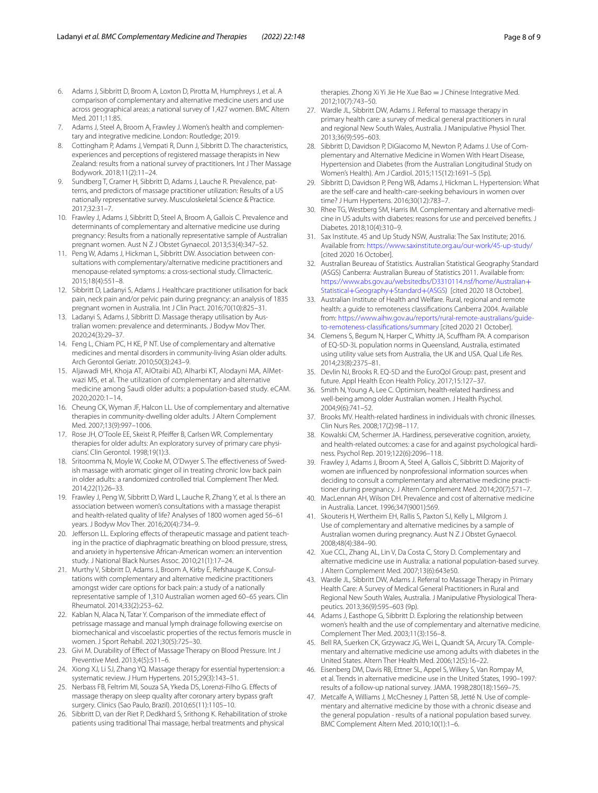- <span id="page-7-0"></span>6. Adams J, Sibbritt D, Broom A, Loxton D, Pirotta M, Humphreys J, et al. A comparison of complementary and alternative medicine users and use across geographical areas: a national survey of 1,427 women. BMC Altern Med. 2011;11:85.
- <span id="page-7-1"></span>7. Adams J, Steel A, Broom A, Frawley J. Women's health and complementary and integrative medicine. London: Routledge; 2019.
- <span id="page-7-2"></span>8. Cottingham P, Adams J, Vempati R, Dunn J, Sibbritt D. The characteristics, experiences and perceptions of registered massage therapists in New Zealand: results from a national survey of practitioners. Int J Ther Massage Bodywork. 2018;11(2):11–24.
- <span id="page-7-3"></span>9. Sundberg T, Cramer H, Sibbritt D, Adams J, Lauche R. Prevalence, patterns, and predictors of massage practitioner utilization: Results of a US nationally representative survey. Musculoskeletal Science & Practice. 2017;32:31–7.
- <span id="page-7-4"></span>10. Frawley J, Adams J, Sibbritt D, Steel A, Broom A, Gallois C. Prevalence and determinants of complementary and alternative medicine use during pregnancy: Results from a nationally representative sample of Australian pregnant women. Aust N Z J Obstet Gynaecol. 2013;53(4):347–52.
- 11. Peng W, Adams J, Hickman L, Sibbritt DW. Association between consultations with complementary/alternative medicine practitioners and menopause-related symptoms: a cross-sectional study. Climacteric. 2015;18(4):551–8.
- <span id="page-7-5"></span>12. Sibbritt D, Ladanyi S, Adams J. Healthcare practitioner utilisation for back pain, neck pain and/or pelvic pain during pregnancy: an analysis of 1835 pregnant women in Australia. Int J Clin Pract. 2016;70(10):825–31.
- <span id="page-7-6"></span>13. Ladanyi S, Adams J, Sibbritt D. Massage therapy utilisation by Australian women: prevalence and determinants. J Bodyw Mov Ther. 2020;24(3):29–37.
- <span id="page-7-7"></span>14. Feng L, Chiam PC, H KE, P NT. Use of complementary and alternative medicines and mental disorders in community-living Asian older adults. Arch Gerontol Geriatr. 2010;50(3):243–9.
- 15. Aljawadi MH, Khoja AT, AlOtaibi AD, Alharbi KT, Alodayni MA, AlMetwazi MS, et al. The utilization of complementary and alternative medicine among Saudi older adults: a population-based study. eCAM. 2020;2020:1–14.
- 16. Cheung CK, Wyman JF, Halcon LL. Use of complementary and alternative therapies in community-dwelling older adults. J Altern Complement Med. 2007;13(9):997–1006.
- <span id="page-7-8"></span>17. Rose JH, O'Toole EE, Skeist R, Pfeifer B, Carlsen WR. Complementary therapies for older adults: An exploratory survey of primary care physicians'. Clin Gerontol. 1998;19(1):3.
- <span id="page-7-9"></span>18. Sritoomma N, Moyle W, Cooke M, O'Dwyer S. The effectiveness of Swedish massage with aromatic ginger oil in treating chronic low back pain in older adults: a randomized controlled trial. Complement Ther Med. 2014;22(1):26–33.
- <span id="page-7-10"></span>19. Frawley J, Peng W, Sibbritt D, Ward L, Lauche R, Zhang Y, et al. Is there an association between women's consultations with a massage therapist and health-related quality of life? Analyses of 1800 women aged 56–61 years. J Bodyw Mov Ther. 2016;20(4):734–9.
- <span id="page-7-11"></span>20. Jefferson LL. Exploring effects of therapeutic massage and patient teaching in the practice of diaphragmatic breathing on blood pressure, stress, and anxiety in hypertensive African-American women: an intervention study. J National Black Nurses Assoc. 2010;21(1):17–24.
- <span id="page-7-12"></span>21. Murthy V, Sibbritt D, Adams J, Broom A, Kirby E, Refshauge K. Consultations with complementary and alternative medicine practitioners amongst wider care options for back pain: a study of a nationally representative sample of 1,310 Australian women aged 60–65 years. Clin Rheumatol. 2014;33(2):253–62.
- <span id="page-7-13"></span>22. Kablan N, Alaca N, Tatar Y. Comparison of the immediate effect of petrissage massage and manual lymph drainage following exercise on biomechanical and viscoelastic properties of the rectus femoris muscle in women. J Sport Rehabil. 2021;30(5):725–30.
- <span id="page-7-14"></span>23. Givi M. Durability of Effect of Massage Therapy on Blood Pressure. Int J Preventive Med. 2013;4(5):511–6.
- <span id="page-7-15"></span>24. Xiong XJ, Li SJ, Zhang YQ. Massage therapy for essential hypertension: a systematic review. J Hum Hypertens. 2015;29(3):143–51.
- <span id="page-7-16"></span>25. Nerbass FB, Feltrim MI, Souza SA, Ykeda DS, Lorenzi-Filho G. Efects of massage therapy on sleep quality after coronary artery bypass graft surgery. Clinics (Sao Paulo, Brazil). 2010;65(11):1105–10.
- <span id="page-7-17"></span>26. Sibbritt D, van der Riet P, Dedkhard S, Srithong K. Rehabilitation of stroke patients using traditional Thai massage, herbal treatments and physical

therapies. Zhong Xi Yi Jie He Xue Bao = J Chinese Integrative Med. 2012;10(7):743–50.

- <span id="page-7-18"></span>27. Wardle JL, Sibbritt DW, Adams J. Referral to massage therapy in primary health care: a survey of medical general practitioners in rural and regional New South Wales, Australia. J Manipulative Physiol Ther. 2013;36(9):595–603.
- <span id="page-7-19"></span>28. Sibbritt D, Davidson P, DiGiacomo M, Newton P, Adams J. Use of Complementary and Alternative Medicine in Women With Heart Disease, Hypertension and Diabetes (from the Australian Longitudinal Study on Women's Health). Am J Cardiol. 2015;115(12):1691–5 (5p).
- <span id="page-7-20"></span>29. Sibbritt D, Davidson P, Peng WB, Adams J, Hickman L. Hypertension: What are the self-care and health-care-seeking behaviours in women over time? J Hum Hypertens. 2016;30(12):783–7.
- <span id="page-7-21"></span>30. Rhee TG, Westberg SM, Harris IM. Complementary and alternative medicine in US adults with diabetes: reasons for use and perceived benefts. J Diabetes. 2018;10(4):310–9.
- <span id="page-7-22"></span>31. Sax Institute. 45 and Up Study NSW, Australia: The Sax Institute; 2016. Available from: <https://www.saxinstitute.org.au/our-work/45-up-study/> [cited 2020 16 October].
- <span id="page-7-23"></span>32. Australian Beureau of Statistics. Australian Statistical Geography Standard (ASGS) Canberra: Australian Bureau of Statistics 2011. Available from: [https://www.abs.gov.au/websitedbs/D3310114.nsf/home/Australian](https://www.abs.gov.au/websitedbs/D3310114.nsf/home/Australian+Statistical+Geography+Standard+(ASGS)+ Statistical+Geography+Standard+(ASGS) [cited 2020 18 October].
- <span id="page-7-24"></span>33. [Australian Institute of Health and Welfare.](https://www.abs.gov.au/websitedbs/D3310114.nsf/home/Australian+Statistical+Geography+Standard+(ASGS) Rural, regional and remote health: a guide to remoteness classifcations Canberra 2004. Available from: [https://www.aihw.gov.au/reports/rural-remote-australians/guide](https://www.aihw.gov.au/reports/rural-remote-australians/guide-to-remoteness-classifications/summary)[to-remoteness-classifcations/summary](https://www.aihw.gov.au/reports/rural-remote-australians/guide-to-remoteness-classifications/summary) [cited 2020 21 October].
- <span id="page-7-25"></span>34. Clemens S, Begum N, Harper C, Whitty JA, Scufham PA. A comparison of EQ-5D-3L population norms in Queensland, Australia, estimated using utility value sets from Australia, the UK and USA. Qual Life Res. 2014;23(8):2375–81.
- <span id="page-7-26"></span>35. Devlin NJ, Brooks R. EQ-5D and the EuroQol Group: past, present and future. Appl Health Econ Health Policy. 2017;15:127–37.
- <span id="page-7-27"></span>36. Smith N, Young A, Lee C. Optimism, health-related hardiness and well-being among older Australian women. J Health Psychol. 2004;9(6):741–52.
- 37. Brooks MV. Health-related hardiness in individuals with chronic illnesses. Clin Nurs Res. 2008;17(2):98–117.
- <span id="page-7-28"></span>38. Kowalski CM, Schermer JA. Hardiness, perseverative cognition, anxiety, and health-related outcomes: a case for and against psychological hardiness. Psychol Rep. 2019;122(6):2096–118.
- <span id="page-7-29"></span>39. Frawley J, Adams J, Broom A, Steel A, Gallois C, Sibbritt D. Majority of women are infuenced by nonprofessional information sources when deciding to consult a complementary and alternative medicine practitioner during pregnancy. J Altern Complement Med. 2014;20(7):571–7.
- 40. MacLennan AH, Wilson DH. Prevalence and cost of alternative medicine in Australia. Lancet. 1996;347(9001):569.
- 41. Skouteris H, Wertheim EH, Rallis S, Paxton SJ, Kelly L, Milgrom J. Use of complementary and alternative medicines by a sample of Australian women during pregnancy. Aust N Z J Obstet Gynaecol. 2008;48(4):384–90.
- <span id="page-7-34"></span>42. Xue CCL, Zhang AL, Lin V, Da Costa C, Story D. Complementary and alternative medicine use in Australia: a national population-based survey. J Altern Complement Med. 2007;13(6):643e50.
- 43. Wardle JL, Sibbritt DW, Adams J. Referral to Massage Therapy in Primary Health Care: A Survey of Medical General Practitioners in Rural and Regional New South Wales, Australia. J Manipulative Physiological Therapeutics. 2013;36(9):595–603 (9p).
- <span id="page-7-30"></span>44. Adams J, Easthope G, Sibbritt D. Exploring the relationship between women's health and the use of complementary and alternative medicine. Complement Ther Med. 2003;11(3):156–8.
- <span id="page-7-31"></span>45. Bell RA, Suerken CK, Grzywacz JG, Wei L, Quandt SA, Arcury TA. Complementary and alternative medicine use among adults with diabetes in the United States. Altern Ther Health Med. 2006;12(5):16–22.
- <span id="page-7-32"></span>46. Eisenberg DM, Davis RB, Ettner SL, Appel S, Wilkey S, Van Rompay M, et al. Trends in alternative medicine use in the United States, 1990–1997: results of a follow-up national survey. JAMA. 1998;280(18):1569–75.
- <span id="page-7-33"></span>47. Metcalfe A, Williams J, McChesney J, Patten SB, Jetté N. Use of complementary and alternative medicine by those with a chronic disease and the general population - results of a national population based survey. BMC Complement Altern Med. 2010;10(1):1–6.